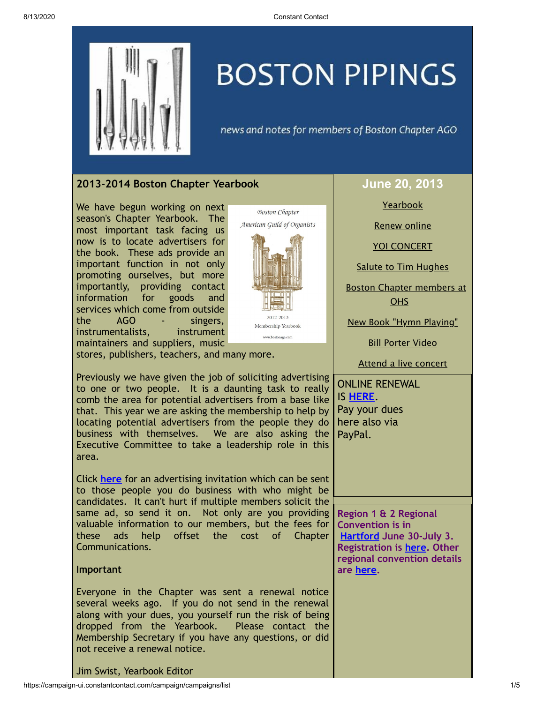

# **BOSTON PIPINGS**

news and notes for members of Boston Chapter AGO

# <span id="page-0-0"></span>**2013-2014 Boston Chapter Yearbook**

We have begun working on next season's Chapter Yearbook. The most important task facing us now is to locate advertisers for the book. These ads provide an important function in not only promoting ourselves, but more importantly, providing contact information for goods and services which come from outside the AGO - singers, instrumentalists, instrument maintainers and suppliers, music



stores, publishers, teachers, and many more.

Previously we have given the job of soliciting advertising to one or two people. It is a daunting task to really comb the area for potential advertisers from a base like that. This year we are asking the membership to help by locating potential advertisers from the people they do business with themselves. We are also asking the Executive Committee to take a leadership role in this area.

Click **[here](http://library.constantcontact.com/doc208/1105786651064/doc/xBDIEtecr3YbvhHg.pdf)** for an advertising invitation which can be sent to those people you do business with who might be candidates. It can't hurt if multiple members solicit the same ad, so send it on. Not only are you providing valuable information to our members, but the fees for these ads help offset the cost of Chapter Communications.

## **Important**

Everyone in the Chapter was sent a renewal notice several weeks ago. If you do not send in the renewal along with your dues, you yourself run the risk of being dropped from the Yearbook. Please contact the Membership Secretary if you have any questions, or did not receive a renewal notice.

# **June 20, 2013**

**[Yearbook](#page-0-0)** 

[Renew](#page-0-1) online

YOI [CONCERT](#page-1-0)

Salute to Tim [Hughes](#page-1-1)

Boston Chapter [members](#page-1-2) at OHS

New Book "Hymn [Playing"](#page-2-0)

Bill [Porter](#page-2-1) Video

Attend a live [concert](#page-3-0)

<span id="page-0-1"></span>ONLINE RENEWAL IS **[HERE](http://www.bostonago.org/chapter/membership-info/)**. Pay your dues here also via PayPal.

**Region 1 & 2 Regional Convention is in [Hartford](http://hartfordago2013.org/) June 30-July 3. Registration is [here.](http://www.regonline.com/Register/Checkin.aspx?EventID=1107693) Other regional convention details are [here](http://www.agohq.org/organize/regconven.html).**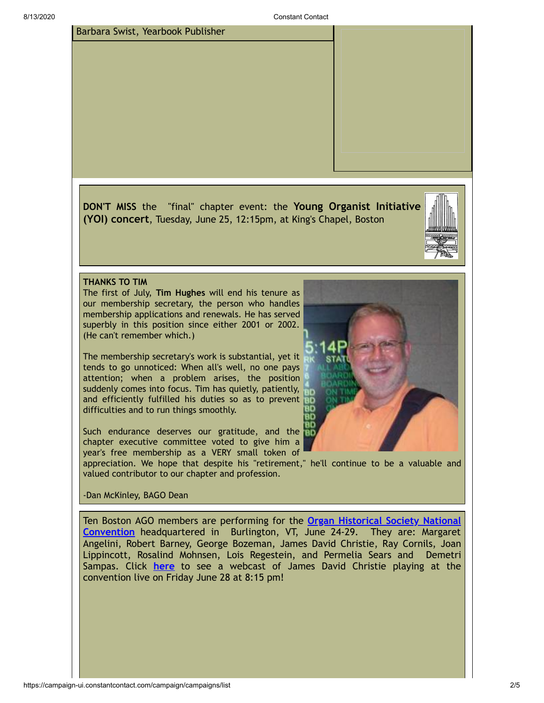

<span id="page-1-0"></span>**DON'T MISS** the "final" chapter event: the **Young Organist Initiative (YOI) concert**, Tuesday, June 25, 12:15pm, at King's Chapel, Boston



#### <span id="page-1-1"></span>**THANKS TO TIM**

Barbara Swist, Yearbook Publisher

The first of July, **Tim Hughes** will end his tenure as our membership secretary, the person who handles membership applications and renewals. He has served superbly in this position since either 2001 or 2002. (He can't remember which.)

The membership secretary's work is substantial, yet it tends to go unnoticed: When all's well, no one pays attention; when a problem arises, the position suddenly comes into focus. Tim has quietly, patiently, and efficiently fulfilled his duties so as to prevent difficulties and to run things smoothly.

Such endurance deserves our gratitude, and the chapter executive committee voted to give him a year's free membership as a VERY small token of

appreciation. We hope that despite his "retirement," he'll continue to be a valuable and valued contributor to our chapter and profession.

# -Dan McKinley, BAGO Dean

<span id="page-1-2"></span>Ten Boston AGO members are performing for the **Organ Historical Society National Convention** [headquartered](http://organsociety.org/) in Burlington, VT, June 24-29. They are: Margaret Angelini, Robert Barney, George Bozeman, James David Christie, Ray Cornils, Joan Lippincott, Rosalind Mohnsen, Lois Regestein, and Permelia Sears and Demetri Sampas. Click **[here](http://www.organsociety.org/2013/webcast.html)** to see a webcast of James David Christie playing at the convention live on Friday June 28 at 8:15 pm!

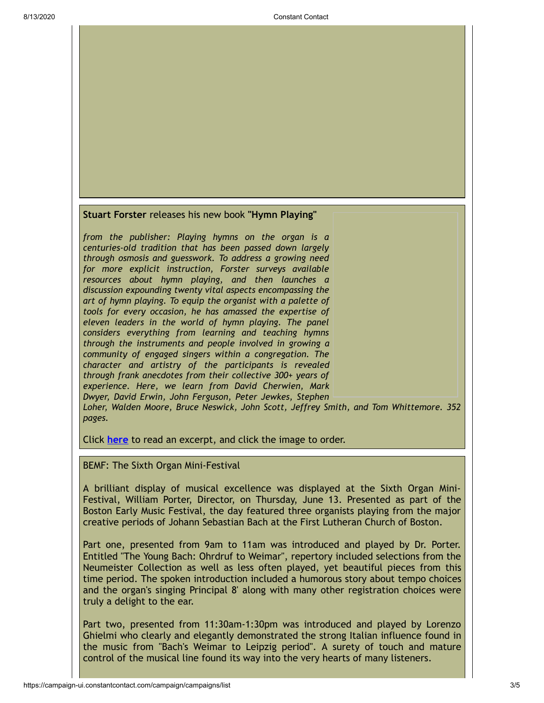<span id="page-2-0"></span>

*from the publisher: Playing hymns on the organ is a centuries-old tradition that has been passed down largely through osmosis and guesswork. To address a growing need for more explicit instruction, Forster surveys available resources about hymn playing, and then launches a discussion expounding twenty vital aspects encompassing the art of hymn playing. To equip the organist with a palette of tools for every occasion, he has amassed the expertise of eleven leaders in the world of hymn playing. The panel considers everything from learning and teaching hymns through the instruments and people involved in growing a community of engaged singers within a congregation. The character and artistry of the participants is revealed through frank anecdotes from their collective 300+ years of experience. Here, we learn from David Cherwien, Mark Dwyer, David Erwin, John Ferguson, Peter Jewkes, Stephen Loher, Walden Moore, Bruce Neswick, John Scott, Jeffrey Smith, and Tom Whittemore. 352 pages.*

Click **[here](http://www.morningstarmusic.com/pdfs/90-44.pdf)** to read an excerpt, and click the image to order.

## <span id="page-2-1"></span>BEMF: The Sixth Organ Mini-Festival

A brilliant display of musical excellence was displayed at the Sixth Organ Mini-Festival, William Porter, Director, on Thursday, June 13. Presented as part of the Boston Early Music Festival, the day featured three organists playing from the major creative periods of Johann Sebastian Bach at the First Lutheran Church of Boston.

Part one, presented from 9am to 11am was introduced and played by Dr. Porter. Entitled "The Young Bach: Ohrdruf to Weimar", repertory included selections from the Neumeister Collection as well as less often played, yet beautiful pieces from this time period. The spoken introduction included a humorous story about tempo choices and the organ's singing Principal 8' along with many other registration choices were truly a delight to the ear.

Part two, presented from 11:30am-1:30pm was introduced and played by Lorenzo Ghielmi who clearly and elegantly demonstrated the strong Italian influence found in the music from "Bach's Weimar to Leipzig period". A surety of touch and mature control of the musical line found its way into the very hearts of many listeners.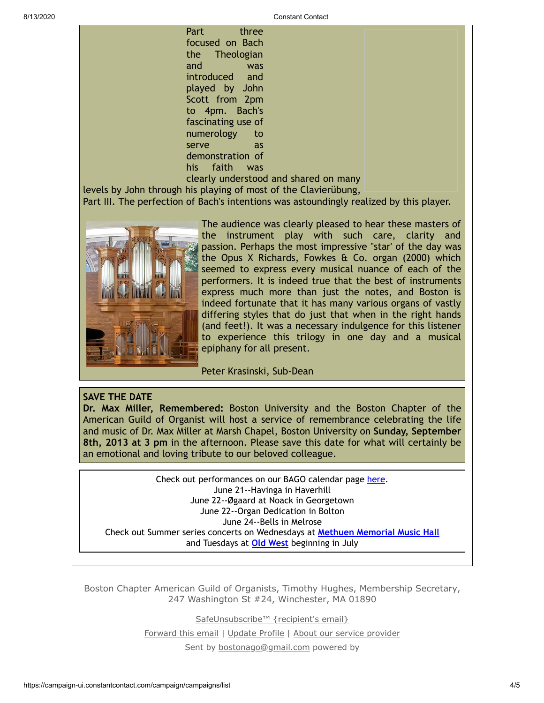8/13/2020 Constant Contact

Part three focused on Bach the Theologian and was introduced and played by John Scott from 2pm to 4pm. Bach's fascinating use of numerology to serve as demonstration of his faith was

clearly understood and shared on many

levels by John through his playing of most of the Clavierübung,

Part III. The perfection of Bach's intentions was astoundingly realized by this player.



The audience was clearly pleased to hear these masters of the instrument play with such care, clarity and passion. Perhaps the most impressive "star' of the day was the Opus X Richards, Fowkes & Co. organ (2000) which seemed to express every musical nuance of each of the performers. It is indeed true that the best of instruments express much more than just the notes, and Boston is indeed fortunate that it has many various organs of vastly differing styles that do just that when in the right hands (and feet!). It was a necessary indulgence for this listener to experience this trilogy in one day and a musical epiphany for all present.

# Peter Krasinski, Sub-Dean

# **SAVE THE DATE**

**Dr. Max Miller, Remembered:** Boston University and the Boston Chapter of the American Guild of Organist will host a service of remembrance celebrating the life and music of Dr. Max Miller at Marsh Chapel, Boston University on **Sunday, September 8th, 2013 at 3 pm** in the afternoon. Please save this date for what will certainly be an emotional and loving tribute to our beloved colleague.

<span id="page-3-0"></span>Check out performances on our BAGO calendar page [here.](http://www.bostonago.org/info/calendar/) June 21--Havinga in Haverhill June 22--Øgaard at Noack in Georgetown June 22--Organ Dedication in Bolton June 24--Bells in Melrose Check out Summer series concerts on Wednesdays at **Methuen [Memorial](http://mmmh.org/1_86_Wednesdays-May-22-thru-August-28-2013-ORGAN-RECITAL-SERIES.html) Music Hall** and Tuesdays at **Old [West](http://www.oldwestorgansociety.org/summerseries.html)** beginning in July

Boston Chapter American Guild of Organists, Timothy Hughes, Membership Secretary, 247 Washington St #24, Winchester, MA 01890

[SafeUnsubscribe™ {recipient's email}](https://visitor.constantcontact.com/do?p=un&mse=001Z-Kl6V1LPoTixF6Qv_DSK9j3c-EcAn-O&t=001suyFmdxfklZ_vEMHMhCKMw%3D%3D&id=001b-xBWU3VMkdcUAs6Z1pcI3DdAJp2vbLk&llr=ynqka8fab)

[Forward this email](https://ui.constantcontact.com/sa/fwtf.jsp?llr=ynqka8fab&m=1105786651064&ea=bostonago@gmail.com&a=1113852514658&id=preview) | [Update Profile](https://visitor.constantcontact.com/do?mse=001Z-Kl6V1LPoTixF6Qv_DSK3ear63jC5uLPll9Z7w9NpRWL-_eO0pmEg%3D%3D&t=001suyFmdxfklZ_vEMHMhCKMw%3D%3D&lang=001FCSs65SMrsI%3D&id=001b-xBWU3VMkdcUAs6Z1pcI3DdAJp2vbLk&llr=ynqka8fab&p=oo) | [About our service provider](http://www.constantcontact.com/legal/service-provider?cc=about-service-provider)

Sent by [bostonago@gmail.com](mailto:bostonago@gmail.com) powered by